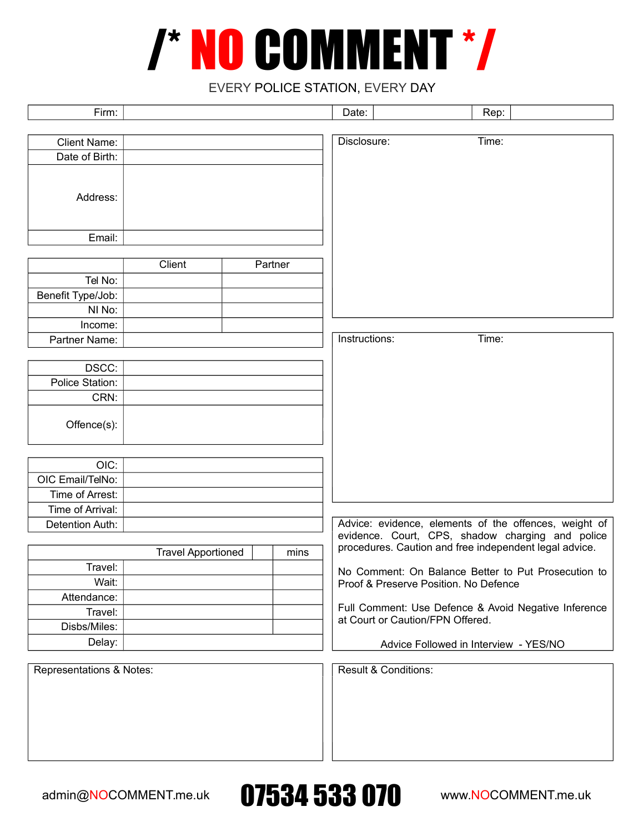## /\* NO COMMENT \*/

## EVERY POLICE STATION, EVERY DAY

| Firm:                    |                           |         | Date:         | Rep:                                                   |  |
|--------------------------|---------------------------|---------|---------------|--------------------------------------------------------|--|
|                          |                           |         |               |                                                        |  |
| <b>Client Name:</b>      |                           |         | Disclosure:   | Time:                                                  |  |
| Date of Birth:           |                           |         |               |                                                        |  |
|                          |                           |         |               |                                                        |  |
| Address:                 |                           |         |               |                                                        |  |
|                          |                           |         |               |                                                        |  |
|                          |                           |         |               |                                                        |  |
| Email:                   |                           |         |               |                                                        |  |
|                          | Client                    |         |               |                                                        |  |
|                          |                           | Partner |               |                                                        |  |
| Tel No:                  |                           |         |               |                                                        |  |
| Benefit Type/Job:        |                           |         |               |                                                        |  |
| NI No:                   |                           |         |               |                                                        |  |
| Income:<br>Partner Name: |                           |         | Instructions: | Time:                                                  |  |
|                          |                           |         |               |                                                        |  |
| DSCC:                    |                           |         |               |                                                        |  |
| Police Station:          |                           |         |               |                                                        |  |
| CRN:                     |                           |         |               |                                                        |  |
|                          |                           |         |               |                                                        |  |
| Offence(s):              |                           |         |               |                                                        |  |
|                          |                           |         |               |                                                        |  |
| OIC:                     |                           |         |               |                                                        |  |
| OIC Email/TelNo:         |                           |         |               |                                                        |  |
| Time of Arrest:          |                           |         |               |                                                        |  |
| Time of Arrival:         |                           |         |               |                                                        |  |
| Detention Auth:          |                           |         |               | Advice: evidence, elements of the offences, weight of  |  |
|                          |                           |         |               | evidence. Court, CPS, shadow charging and police       |  |
|                          | <b>Travel Apportioned</b> | mins    |               | procedures. Caution and free independent legal advice. |  |
| Travel:                  |                           |         |               | No Comment: On Balance Better to Put Prosecution to    |  |
| Wait:                    |                           |         |               | Proof & Preserve Position. No Defence                  |  |
| Attendance:              |                           |         |               |                                                        |  |
| Travel:                  |                           |         |               | Full Comment: Use Defence & Avoid Negative Inference   |  |
| Disbs/Miles:             |                           |         |               | at Court or Caution/FPN Offered.                       |  |
| Delay:                   |                           |         |               | Advice Followed in Interview - YES/NO                  |  |
|                          |                           |         |               |                                                        |  |
| Representations & Notes: |                           |         |               | <b>Result &amp; Conditions:</b>                        |  |
|                          |                           |         |               |                                                        |  |
|                          |                           |         |               |                                                        |  |
|                          |                           |         |               |                                                        |  |
|                          |                           |         |               |                                                        |  |
|                          |                           |         |               |                                                        |  |
|                          |                           |         |               |                                                        |  |